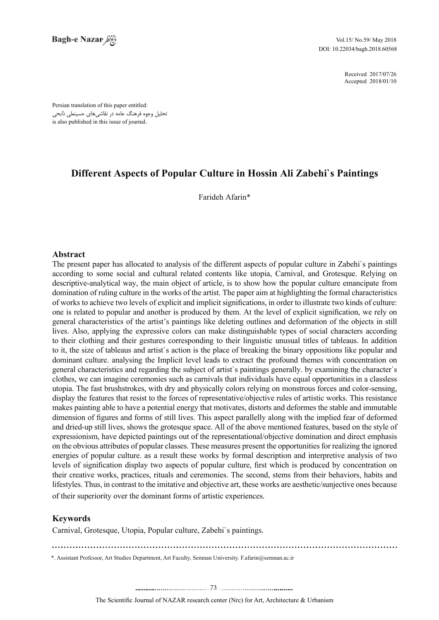2017/07/26 Received 2018/01/10 Accepted

Persian translation of this paper entitled: تحلیل وجوه فرهنگ عامه در نقاشیهای حسینعلی ذابحی is also published in this issue of journal.

# **Different Aspects of Popular Culture in Hossin Ali Zabehi's Paintings**

Farideh Afarin\*

## **Abstract**

The present paper has allocated to analysis of the different aspects of popular culture in Zabehi's paintings according to some social and cultural related contents like utopia, Carnival, and Grotesque. Relying on descriptive-analytical way, the main object of article, is to show how the popular culture emancipate from domination of ruling culture in the works of the artist. The paper aim at highlighting the formal characteristics of works to achieve two levels of explicit and implicit significations, in order to illustrate two kinds of culture: one is related to popular and another is produced by them. At the level of explicit signification, we rely on general characteristics of the artist's paintings like deleting outlines and deformation of the objects in still lives. Also, applying the expressive colors can make distinguishable types of social characters according to their clothing and their gestures corresponding to their linguistic unusual titles of tableaus. In addition to it, the size of tableaus and artist's action is the place of breaking the binary oppositions like popular and dominant culture, analysing the Implicit level leads to extract the profound themes with concentration on general characteristics and regarding the subject of artist's paintings generally, by examining the character's clothes, we can imagine ceremonies such as carnivals that individuals have equal opportunities in a classless utopia. The fast brushstrokes, with dry and physically colors relying on monstrous forces and color-sensing, display the features that resist to the forces of representative/objective rules of artistic works. This resistance makes painting able to have a potential energy that motivates, distorts and deformes the stable and immutable dimension of figures and forms of still lives. This aspect parallelly along with the implied fear of deformed and dried-up still lives, shows the grotesque space. All of the above mentioned features, based on the style of expressionism, have depicted paintings out of the representational/objective domination and direct emphasis on the obvious attributes of popular classes. These measures present the opportunities for realizing the ignored energies of popular culture, as a result these works by formal description and interpretive analysis of two levels of signification display two aspects of popular culture, first which is produced by concentration on their creative works, practices, rituals and ceremonies. The second, stems from their behaviors, habits and lifestyles. Thus, in contrast to the imitative and objective art, these works are aesthetic/sunjective ones because of their superiority over the dominant forms of artistic experiences.

## **Keywords**

Carnival, Grotesque, Utopia, Popular culture, Zabehi's paintings.

\*. Assistant Professor, Art Studies Department, Art Faculty, Semnan University. F.afarin@semnan.ac.ir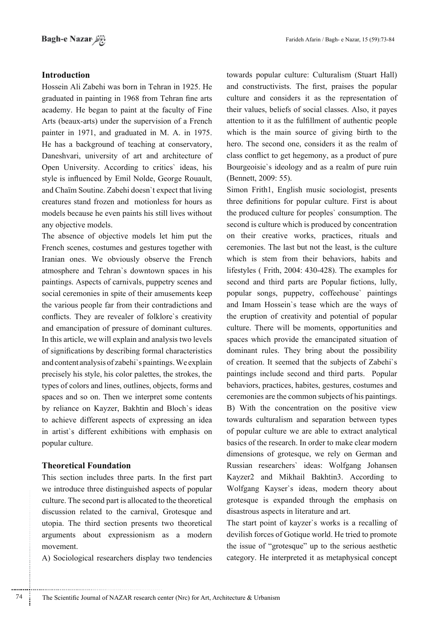## **Introduction**

Hossein Ali Zabehi was born in Tehran in 1925. He graduated in painting in 1968 from Tehran fine arts academy. He began to paint at the faculty of Fine Arts (beaux-arts) under the supervision of a French painter in 1971, and graduated in M. A. in 1975. He has a background of teaching at conservatory, Daneshvari, university of art and architecture of Open University. According to critics' ideas, his style is influenced by Emil Nolde, George Rouault, and Chaïm Soutine. Zabehi doesn't expect that living creatures stand frozen and motionless for hours as models because he even paints his still lives without any objective models.

The absence of objective models let him put the French scenes, costumes and gestures together with Iranian ones. We obviously observe the French atmosphere and Tehran's downtown spaces in his paintings. Aspects of carnivals, puppetry scenes and social ceremonies in spite of their amusements keep the various people far from their contradictions and conflicts. They are revealer of folklore's creativity and emancipation of pressure of dominant cultures. In this article, we will explain and analysis two levels of significations by describing formal characteristics and content analysis of zabehi's paintings. We explain precisely his style, his color palettes, the strokes, the types of colors and lines, outlines, objects, forms and spaces and so on. Then we interpret some contents by reliance on Kayzer, Bakhtin and Bloch's ideas to achieve different aspects of expressing an idea in artist's different exhibitions with emphasis on popular culture.

## **Theoretical Foundation**

This section includes three parts. In the first part we introduce three distinguished aspects of popular culture. The second part is allocated to the theoretical discussion related to the carnival, Grotesque and utopia. The third section presents two theoretical arguments about expressionism as a modern .movement

A) Sociological researchers display two tendencies

towards popular culture: Culturalism (Stuart Hall) and constructivists. The first, praises the popular culture and considers it as the representation of their values, beliefs of social classes. Also, it payes attention to it as the fulfillment of authentic people which is the main source of giving birth to the hero. The second one, considers it as the realm of class conflict to get hegemony, as a product of pure Bourgeoisie's ideology and as a realm of pure ruin (Bennett, 2009: 55).

Simon Frith 1, English music sociologist, presents three definitions for popular culture. First is about the produced culture for peoples' consumption. The second is culture which is produced by concentration on their creative works, practices, rituals and ceremonies. The last but not the least, is the culture which is stem from their behaviors, habits and lifestyles  $(Frith. 2004: 430-428)$ . The examples for second and third parts are Popular fictions, lully, popular songs, puppetry, coffeehouse' paintings and Imam Hossein's tease which are the ways of the eruption of creativity and potential of popular culture. There will be moments, opportunities and spaces which provide the emancipated situation of dominant rules. They bring about the possibility of creation. It seemed that the subjects of Zabehi's paintings include second and third parts. Popular behaviors, practices, habites, gestures, costumes and ceremonies are the common subjects of his paintings. B) With the concentration on the positive view towards culturalism and separation between types of popular culture we are able to extract analytical basics of the research. In order to make clear modern dimensions of grotesque, we rely on German and Russian researchers' ideas: Wolfgang Johansen Kayzer2 and Mikhail Bakhtin 3. According to Wolfgang Kayser's ideas, modern theory about grotesque is expanded through the emphasis on disastrous aspects in literature and art.

The start point of kayzer's works is a recalling of devilish forces of Gotique world. He tried to promote the issue of "grotesque" up to the serious aesthetic category. He interpreted it as metaphysical concept

............................................................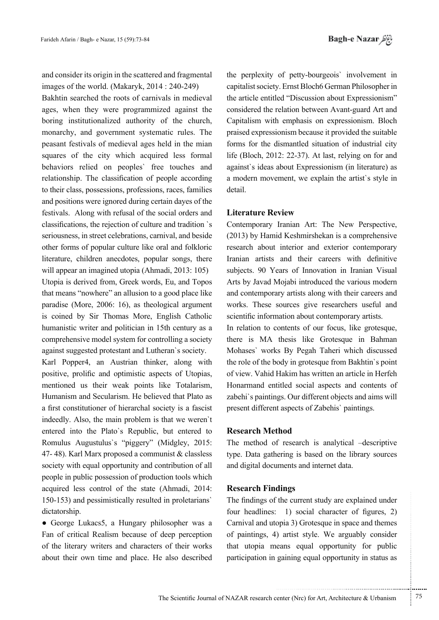and consider its origin in the scattered and fragmental images of the world. (Makaryk, 2014 : 240-249)

Bakhtin searched the roots of carnivals in medieval ages, when they were programmized against the boring institutionalized authority of the church, monarchy, and government systematic rules. The peasant festivals of medieval ages held in the mian squares of the city which acquired less formal behaviors relied on peoples' free touches and relationship. The classification of people according to their class, possessions, professions, races, families and positions were ignored during certain dayes of the festivals. Along with refusal of the social orders and classifications, the rejection of culture and tradition `s seriousness, in street celebrations, carnival, and beside other forms of popular culture like oral and folkloric literature, children anecdotes, popular songs, there will appear an imagined utopia (Ahmadi, 2013; 105) Utopia is derived from, Greek words, Eu, and Topos that means "nowhere" an allusion to a good place like paradise (More, 2006: 16), as theological argument is coined by Sir Thomas More, English Catholic humanistic writer and politician in 15th century as a comprehensive model system for controlling a society against suggested protestant and Lutheran's society.

Karl Popper4, an Austrian thinker, along with positive, prolific and optimistic aspects of Utopias, mentioned us their weak points like Totalarism, Humanism and Secularism. He believed that Plato as a first constitutioner of hierarchal society is a fascist indeedly. Also, the main problem is that we weren't entered into the Plato's Republic, but entered to Romulus Augustulus's "piggery" (Midgley, 2015: 47-48). Karl Marx proposed a communist & classless society with equal opportunity and contribution of all people in public possession of production tools which acquired less control of the state (Ahmadi, 2014: 150-153) and pessimistically resulted in proletarians dictatorship.

• George Lukacs5, a Hungary philosopher was a Fan of critical Realism because of deep perception of the literary writers and characters of their works about their own time and place. He also described the perplexity of petty-bourgeois' involvement in capitalist society. Ernst Bloch6 German Philosopher in the article entitled "Discussion about Expressionism" considered the relation between Avant-guard Art and Capitalism with emphasis on expressionism. Bloch praised expressionism because it provided the suitable forms for the dismantled situation of industrial city life (Bloch, 2012: 22-37). At last, relying on for and against's ideas about Expressionism (in literature) as a modern movement, we explain the artist's style in detail.

## **Literature Review**

Contemporary Iranian Art: The New Perspective, (2013) by Hamid Keshmirshekan is a comprehensive research about interior and exterior contemporary Iranian artists and their careers with definitive subjects. 90 Years of Innovation in Iranian Visual Arts by Javad Mojabi introduced the various modern and contemporary artists along with their careers and works. These sources give researchers useful and scientific information about contemporary artists.

In relation to contents of our focus, like grotesque, there is MA thesis like Grotesque in Bahman Mohases' works By Pegah Taheri which discussed the role of the body in grotesque from Bakhtin's point of view. Vahid Hakim has written an article in Herfeh Honarmand entitled social aspects and contents of zabehi's paintings. Our different objects and aims will present different aspects of Zabehis' paintings.

## **Research Method**

The method of research is analytical -descriptive type. Data gathering is based on the library sources and digital documents and internet data.

## **Research Findings**

The findings of the current study are explained under four headlines: 1) social character of figures, 2) Carnival and utopia 3) Grotesque in space and themes of paintings, 4) artist style. We arguably consider that utopia means equal opportunity for public participation in gaining equal opportunity in status as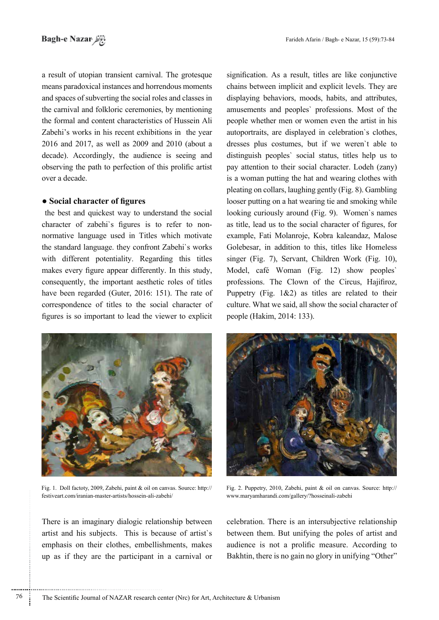a result of utopian transient carnival. The grotesque means paradoxical instances and horrendous moments and spaces of subverting the social roles and classes in the carnival and folkloric ceremonies, by mentioning the formal and content characteristics of Hussein Ali Zabehi's works in his recent exhibitions in the year 2016 and 2017, as well as  $2009$  and  $2010$  (about a decade). Accordingly, the audience is seeing and observing the path to perfection of this prolific artist over a decade

## **• Social character of figures**

the best and quickest way to understand the social normative language used in Titles which motivate character of zabehi's figures is to refer to nonthe standard language, they confront Zabehi's works with different potentiality. Regarding this titles makes every figure appear differently. In this study, consequently, the important aesthetic roles of titles have been regarded (Guter, 2016: 151). The rate of correspondence of titles to the social character of figures is so important to lead the viewer to explicit



Fig. 1. Doll factoty, 2009, Zabehi, paint  $\&$  oil on canvas. Source: http:// festiveart.com/iranian-master-artists/hossein-ali-zabehi/

There is an imaginary dialogic relationship between artist and his subjects. This is because of artist's emphasis on their clothes, embellishments, makes up as if they are the participant in a carnival or signification. As a result, titles are like conjunctive chains between implicit and explicit levels. They are displaying behaviors, moods, habits, and attributes, amusements and peoples' professions. Most of the people whether men or women even the artist in his autoportraits, are displayed in celebration's clothes, dresses plus costumes, but if we weren't able to distinguish peoples' social status, titles help us to pay attention to their social character. Lodeh (zany) is a woman putting the hat and wearing clothes with pleating on collars, laughing gently (Fig. 8). Gambling looser putting on a hat wearing tie and smoking while looking curiously around (Fig. 9). Women's names as title, lead us to the social character of figures, for example, Fati Molanroje, Kobra kaleandaz, Malose Golebesar, in addition to this, titles like Homeless singer (Fig. 7), Servant, Children Work (Fig. 10), Model, café Woman (Fig. 12) show peoples professions. The Clown of the Circus, Hajifiroz, Puppetry (Fig.  $1\&2$ ) as titles are related to their culture. What we said, all show the social character of people (Hakim, 2014: 133).



Fig. 2. Puppetry, 2010, Zabehi, paint  $\&$  oil on canvas. Source: http:// www.maryamharandi.com/gallery/?hosseinali-zabehi

celebration. There is an intersubjective relationship between them. But unifying the poles of artist and audience is not a prolific measure. According to Bakhtin, there is no gain no glory in unifying "Other"

............................................................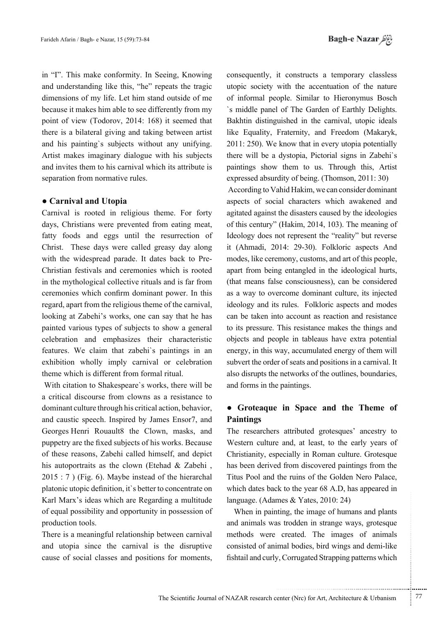in "I". This make conformity. In Seeing, Knowing and understanding like this, "he" repeats the tragic dimensions of my life. Let him stand outside of me because it makes him able to see differently from my point of view (Todorov, 2014: 168) it seemed that there is a bilateral giving and taking between artist and his painting's subjects without any unifying. Artist makes imaginary dialogue with his subjects and invites them to his carnival which its attribute is separation from normative rules.

#### • Carnival and Utopia

Carnival is rooted in religious theme. For forty days, Christians were prevented from eating meat, fatty foods and eggs until the resurrection of Christ. These days were called greasy day along Christian festivals and ceremonies which is rooted with the widespread parade. It dates back to Prein the mythological collective rituals and is far from ceremonies which confirm dominant power. In this regard, apart from the religious theme of the carnival, looking at Zabehi's works, one can say that he has painted various types of subjects to show a general celebration and emphasizes their characteristic features. We claim that zabehi's paintings in an exhibition wholly imply carnival or celebration theme which is different from formal ritual.

With citation to Shakespeare's works, there will be a critical discourse from clowns as a resistance to dominant culture through his critical action, behavior, and caustic speech. Inspired by James Ensor7, and Georges Henri Rouault8 the Clown, masks, and puppetry are the fixed subjects of his works. Because of these reasons, Zabehi called himself, and depict his autoportraits as the clown (Etehad  $& Zabehi$ ,  $2015 : 7$ ) (Fig. 6). Maybe instead of the hierarchal platonic utopic definition, it's better to concentrate on Karl Marx's ideas which are Regarding a multitude of equal possibility and opportunity in possession of production tools.

There is a meaningful relationship between carnival and utopia since the carnival is the disruptive cause of social classes and positions for moments,

consequently, it constructs a temporary classless utopic society with the accentuation of the nature of informal people. Similar to Hieronymus Bosch 's middle panel of The Garden of Earthly Delights. Bakhtin distinguished in the carnival, utopic ideals like Equality, Fraternity, and Freedom (Makaryk,  $2011: 250$ . We know that in every utopia potentially there will be a dystopia, Pictorial signs in Zabehi's paintings show them to us. Through this, Artist expressed absurdity of being. (Thomson,  $2011: 30$ ) According to Vahid Hakim, we can consider dominant aspects of social characters which awakened and agitated against the disasters caused by the ideologies of this century" (Hakim, 2014, 103). The meaning of Ideology does not represent the "reality" but reverse it (Ahmadi, 2014: 29-30). Folkloric aspects And modes, like ceremony, customs, and art of this people, apart from being entangled in the ideological hurts. (that means false consciousness), can be considered as a way to overcome dominant culture, its injected ideology and its rules. Folkloric aspects and modes can be taken into account as reaction and resistance to its pressure. This resistance makes the things and objects and people in tableaus have extra potential energy, in this way, accumulated energy of them will

subvert the order of seats and positions in a carnival. It also disrupts the networks of the outlines, boundaries, and forms in the paintings.

## **• Groteaque in Space and the Theme of Paintings**

The researchers attributed grotesques' ancestry to Western culture and, at least, to the early years of Christianity, especially in Roman culture. Grotesque has been derived from discovered paintings from the Titus Pool and the ruins of the Golden Nero Palace, which dates back to the year 68 A.D, has appeared in language. (Adames  $& Yates, 2010: 24$ )

When in painting, the image of humans and plants and animals was trodden in strange ways, grotesque methods were created. The images of animals consisted of animal bodies, bird wings and demi-like fishtail and curly, Corrugated Strapping patterns which

.......... ....... ........ ........... ...... ....... ........ .......... ...........

...........................................................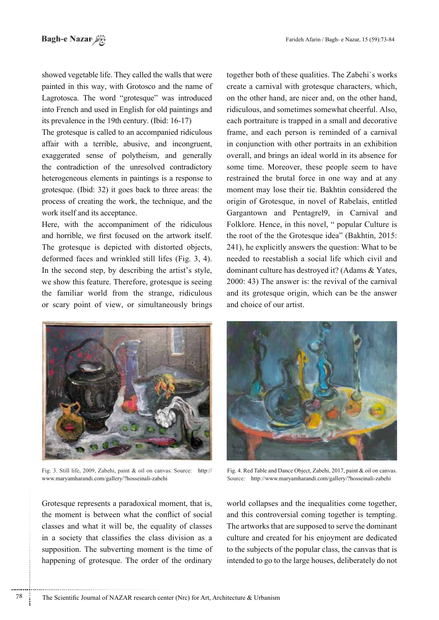showed vegetable life. They called the walls that were painted in this way, with Grotosco and the name of Lagrotosca. The word "grotesque" was introduced into French and used in English for old paintings and its prevalence in the 19th century. (Ibid: 16-17)

The grotesque is called to an accompanied ridiculous affair with a terrible, abusive, and incongruent, exaggerated sense of polytheism, and generally the contradiction of the unresolved contradictory heterogeneous elements in paintings is a response to grotesque. (Ibid: 32) it goes back to three areas: the process of creating the work, the technique, and the work itself and its acceptance.

Here, with the accompaniment of the ridiculous and horrible, we first focused on the artwork itself. The grotesque is depicted with distorted objects, deformed faces and wrinkled still lifes (Fig. 3, 4). In the second step, by describing the artist's style, we show this feature. Therefore, grotesque is seeing the familiar world from the strange, ridiculous or scary point of view, or simultaneously brings



Fig. 3. Still life, 2009, Zabehi, paint & oil on canvas. Source: http:// www.maryamharandi.com/gallery/?hosseinali-zabehi

Grotesque represents a paradoxical moment, that is, the moment is between what the conflict of social classes and what it will be, the equality of classes in a society that classifies the class division as a supposition. The subverting moment is the time of happening of grotesque. The order of the ordinary

together both of these qualities. The Zabehi's works create a carnival with grotesque characters, which, on the other hand, are nicer and, on the other hand, ridiculous, and sometimes somewhat cheerful. Also. each portraiture is trapped in a small and decorative frame, and each person is reminded of a carnival in conjunction with other portraits in an exhibition overall, and brings an ideal world in its absence for some time. Moreover, these people seem to have restrained the brutal force in one way and at any moment may lose their tie. Bakhtin considered the origin of Grotesque, in novel of Rabelais, entitled Gargantown and Pentagrel9, in Carnival and Folklore. Hence, in this novel, " popular Culture is the root of the the Grotesque idea" (Bakhtin, 2015: 241), he explicitly answers the question: What to be needed to reestablish a social life which civil and dominant culture has destroved it? (Adams & Yates, 2000: 43) The answer is: the revival of the carnival and its grotesque origin, which can be the answer and choice of our artist.



Fig. 4. Red Table and Dance Object, Zabehi, 2017, paint & oil on canvas. Source: http://www.maryamharandi.com/gallery/?hosseinali-zabehi

world collapses and the inequalities come together, and this controversial coming together is tempting. The artworks that are supposed to serve the dominant culture and created for his enjoyment are dedicated to the subjects of the popular class, the canvas that is intended to go to the large houses, deliberately do not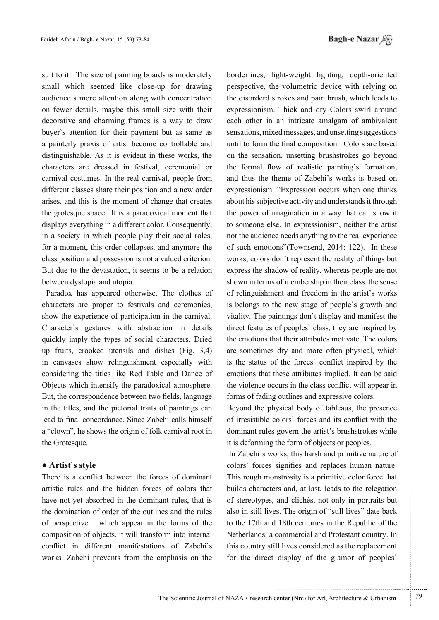suit to it. The size of painting boards is moderately small which seemed like close-up for drawing audience's more attention along with concentration on fewer details, maybe this small size with their decorative and charming frames is a way to draw buyer's attention for their payment but as same as a painterly praxis of artist become controllable and distinguishable. As it is evident in these works, the characters are dressed in festival, ceremonial or carnival costumes. In the real carnival, people from different classes share their position and a new order arises, and this is the moment of change that creates the grotesque space. It is a paradoxical moment that displays everything in a different color. Consequently, in a society in which people play their social roles, for a moment, this order collapses, and anymore the class position and possession is not a valued criterion. But due to the devastation, it seems to be a relation between dystopia and utopia.

Paradox has appeared otherwise. The clothes of characters are proper to festivals and ceremonies, show the experience of participation in the carnival. Character's gestures with abstraction in details quickly imply the types of social characters. Dried up fruits, crooked utensils and dishes  $(Fig, 3,4)$ in canvases show relinguishment especially with considering the titles like Red Table and Dance of Objects which intensify the paradoxical atmosphere. But, the correspondence between two fields, language in the titles, and the pictorial traits of paintings can lead to final concordance. Since Zabehi calls himself a "clown", he shows the origin of folk carnival root in the Grotesque.

## **• Artist's style**

There is a conflict between the forces of dominant artistic rules and the hidden forces of colors that have not yet absorbed in the dominant rules, that is the domination of order of the outlines and the rules of perspective which appear in the forms of the composition of objects. it will transform into internal conflict in different manifestations of Zabehi's works. Zabehi prevents from the emphasis on the

borderlines, light-weight lighting, depth-oriented perspective, the volumetric device with relying on the disorderd strokes and paintbrush, which leads to expressionism. Thick and dry Colors swirl around each other in an intricate amalgam of ambivalent sensations, mixed messages, and unsetting suggestions until to form the final composition. Colors are based on the sensation. unsetting brushstrokes go beyond the formal flow of realistic painting's formation, and thus the theme of Zabehi's works is based on expressionism. "Expression occurs when one thinks about his subjective activity and understands it through the power of imagination in a way that can show it to someone else. In expressionism, neither the artist nor the audience needs anything to the real experience of such emotions"(Townsend, 2014: 122). In these works, colors don't represent the reality of things but express the shadow of reality, whereas people are not shown in terms of membership in their class, the sense of relinguishment and freedom in the artist's works is belongs to the new stage of people's growth and vitality. The paintings don't display and manifest the direct features of peoples' class, they are inspired by the emotions that their attributes motivate. The colors are sometimes dry and more often physical, which is the status of the forces' conflict inspired by the emotions that these attributes implied. It can be said the violence occurs in the class conflict will appear in forms of fading outlines and expressive colors.

Beyond the physical body of tableaus, the presence of irresistible colors' forces and its conflict with the dominant rules govern the artist's brushstrokes while it is deforming the form of objects or peoples.

In Zabehi's works, this harsh and primitive nature of colors' forces signifies and replaces human nature. This rough monstrosity is a primitive color force that builds characters and, at last, leads to the relegation of stereotypes, and clichés, not only in portraits but also in still lives. The origin of "still lives" date back to the 17th and 18th centuries in the Republic of the Netherlands, a commercial and Protestant country. In this country still lives considered as the replacement for the direct display of the glamor of peoples'

.......... ....... ........ ........... ...... ....... ........ .......... ...........

...........................................................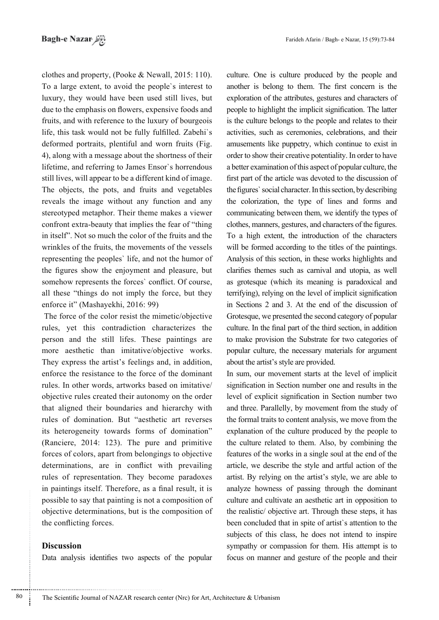clothes and property, (Pooke & Newall, 2015: 110). To a large extent, to avoid the people's interest to luxury, they would have been used still lives, but due to the emphasis on flowers, expensive foods and fruits, and with reference to the luxury of bourgeois life, this task would not be fully fulfilled. Zabehi's deformed portraits, plentiful and worn fruits (Fig. 4), along with a message about the shortness of their lifetime, and referring to James Ensor's horrendous still lives, will appear to be a different kind of image. The objects, the pots, and fruits and vegetables reveals the image without any function and any stereotyped metaphor. Their theme makes a viewer confront extra-beauty that implies the fear of "thing in itself". Not so much the color of the fruits and the wrinkles of the fruits, the movements of the vessels representing the peoples' life, and not the humor of the figures show the enjoyment and pleasure, but somehow represents the forces' conflict. Of course, all these "things do not imply the force, but they enforce it" (Mashayekhi, 2016: 99)

The force of the color resist the mimetic/objective rules, yet this contradiction characterizes the person and the still lifes. These paintings are more aesthetic than imitative/objective works. They express the artist's feelings and, in addition, enforce the resistance to the force of the dominant rules. In other words, artworks based on imitative/ objective rules created their autonomy on the order that aligned their boundaries and hierarchy with rules of domination. But "aesthetic art reverses its heterogeneity towards forms of domination" (Ranciere, 2014: 123). The pure and primitive forces of colors, apart from belongings to objective determinations, are in conflict with prevailing rules of representation. They become paradoxes in paintings itself. Therefore, as a final result, it is possible to say that painting is not a composition of objective determinations, but is the composition of the conflicting forces.

## **Discussion**

80

Data analysis identifies two aspects of the popular

culture. One is culture produced by the people and another is belong to them. The first concern is the exploration of the attributes, gestures and characters of people to highlight the implicit signification. The latter is the culture belongs to the people and relates to their activities, such as ceremonies, celebrations, and their amusements like puppetry, which continue to exist in order to show their creative potentiality. In order to have a better examination of this aspect of popular culture, the first part of the article was devoted to the discussion of the figures' social character. In this section, by describing the colorization, the type of lines and forms and communicating between them, we identify the types of clothes, manners, gestures, and characters of the figures. To a high extent, the introduction of the characters will be formed according to the titles of the paintings. Analysis of this section, in these works highlights and clarifies themes such as carnival and utopia, as well as grotesque (which its meaning is paradoxical and terrifying), relying on the level of implicit signification in Sections 2 and 3. At the end of the discussion of Grotesque, we presented the second category of popular culture. In the final part of the third section, in addition to make provision the Substrate for two categories of popular culture, the necessary materials for argument about the artist's style are provided.

In sum, our movement starts at the level of implicit signification in Section number one and results in the level of explicit signification in Section number two and three. Parallelly, by movement from the study of the formal traits to content analysis, we move from the explanation of the culture produced by the people to the culture related to them. Also, by combining the features of the works in a single soul at the end of the article, we describe the style and artful action of the artist. By relying on the artist's style, we are able to analyze howness of passing through the dominant culture and cultivate an aesthetic art in opposition to the realistic/ objective art. Through these steps, it has been concluded that in spite of artist's attention to the subjects of this class, he does not intend to inspire sympathy or compassion for them. His attempt is to focus on manner and gesture of the people and their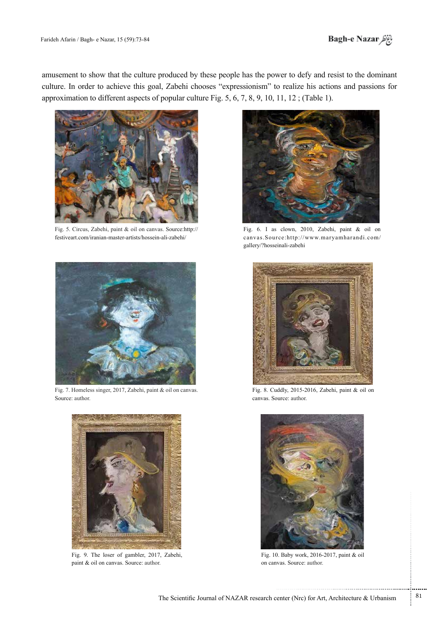

amusement to show that the culture produced by these people has the power to defy and resist to the dominant culture. In order to achieve this goal, Zabehi chooses "expressionism" to realize his actions and passions for approximation to different aspects of popular culture Fig. 5, 6, 7, 8, 9, 10, 11, 12; (Table 1).



Fig. 5. Circus, Zabehi, paint & oil on canvas. Source:http:// festiveart.com/iranian-master-artists/hossein-ali-zabehi/



Fig. 7. Homeless singer, 2017, Zabehi, paint & oil on canvas. Source: author.



Fig. 9. The loser of gambler, 2017, Zabehi, paint  $\&$  oil on canvas. Source: author.



Fig. 6. I as clown, 2010, Zabehi, paint & oil on canvas.Source:http://www.maryamharandi.com/ gallery/?hosseinali-zabehi



Fig. 8. Cuddly, 2015-2016, Zabehi, paint & oil on canvas. Source: author.



Fig. 10. Baby work,  $2016-2017$ , paint & oil on canvas. Source: author.

.......... ....... ........ ........... ...... ....... ........ .......... ...........

...........................................................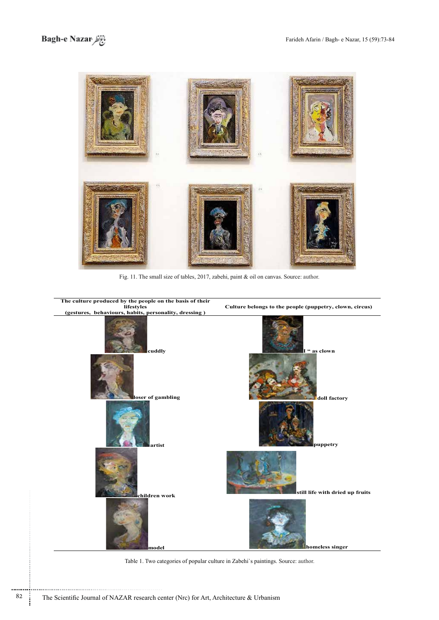

Fig. 11. The small size of tables, 2017, zabehi, paint  $\&$  oil on canvas. Source: author.



Table 1. Two categories of popular culture in Zabehi's paintings. Source: author.

............................................................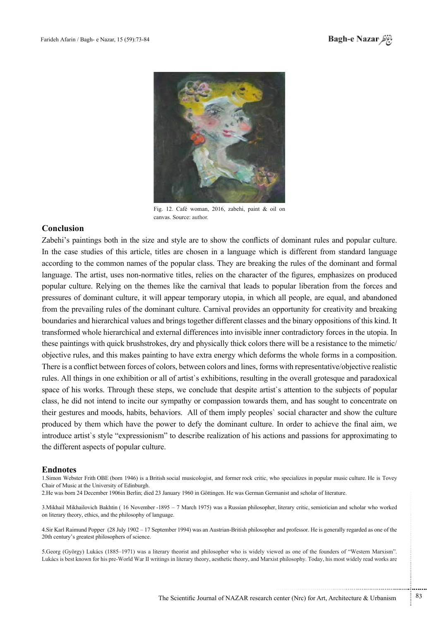



Fig. 12. Café woman, 2016, zabehi, paint  $\&$  oil on canvas. Source: author.

### **Conclusion**

Zabehi's paintings both in the size and style are to show the conflicts of dominant rules and popular culture. In the case studies of this article, titles are chosen in a language which is different from standard language according to the common names of the popular class. They are breaking the rules of the dominant and formal language. The artist, uses non-normative titles, relies on the character of the figures, emphasizes on produced popular culture. Relying on the themes like the carnival that leads to popular liberation from the forces and pressures of dominant culture, it will appear temporary utopia, in which all people, are equal, and abandoned from the prevailing rules of the dominant culture. Carnival provides an opportunity for creativity and breaking boundaries and hierarchical values and brings together different classes and the binary oppositions of this kind. It transformed whole hierarchical and external differences into invisible inner contradictory forces in the utopia. In these paintings with quick brushstrokes, dry and physically thick colors there will be a resistance to the mimetic/ .composition a in forms whole the deforms which deforms which deforms in a composition. There is a conflict between forces of colors, between colors and lines, forms with representative/objective realistic rules. All things in one exhibition or all of artist's exhibitions, resulting in the overall grotesque and paradoxical space of his works. Through these steps, we conclude that despite artist's attention to the subjects of popular class, he did not intend to incite our sympathy or compassion towards them, and has sought to concentrate on their gestures and moods, habits, behaviors. All of them imply peoples' social character and show the culture produced by them which have the power to defy the dominant culture. In order to achieve the final aim, we introduce artist's style "expressionism" to describe realization of his actions and passions for approximating to the different aspects of popular culture.

#### **Endnotes**

1. Simon Webster Frith OBE (born 1946) is a British social musicologist, and former rock critic, who specializes in popular music culture. He is Tovey Chair of Music at the University of Edinburgh.

2. He was born 24 December 1906 in Berlin; died 23 January 1960 in Göttingen. He was German Germanist and scholar of literature.

3. Mikhail Mikhailovich Bakhtin (16 November -1895 – 7 March 1975) was a Russian philosopher, literary critic, semiotician and scholar who worked on literary theory, ethics, and the philosophy of language.

4. Sir Karl Raimund Popper (28 July 1902 – 17 September 1994) was an Austrian-British philosopher and professor. He is generally regarded as one of the 20th century's greatest philosophers of science.

5. Georg (György) Lukács (1885–1971) was a literary theorist and philosopher who is widely viewed as one of the founders of "Western Marxism". Lukács is best known for his pre-World War II writings in literary theory, aesthetic theory, and Marxist philosophy. Today, his most widely read works are ...........................................................

.......... ....... ........ ........... ...... ....... ........ .......... ...........